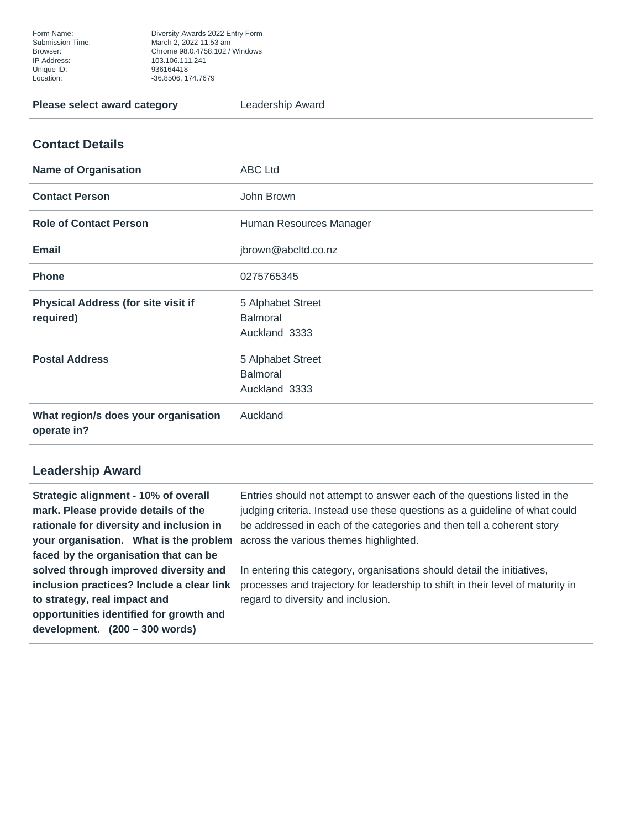Form Name: Diversity Awards 2022 Entry Form Submission Time: March 2, 2022 11:53 am Browser: Chrome 98.0.4758.102 / Windows Unique ID: 936164418 Location: -36.8506, 174.7679

## **Please select award category Leadership Award**

## **Contact Details**

| <b>Name of Organisation</b>                             | <b>ABC Ltd</b>                                        |
|---------------------------------------------------------|-------------------------------------------------------|
| <b>Contact Person</b>                                   | John Brown                                            |
| <b>Role of Contact Person</b>                           | Human Resources Manager                               |
| <b>Email</b>                                            | jbrown@abcltd.co.nz                                   |
| <b>Phone</b>                                            | 0275765345                                            |
| <b>Physical Address (for site visit if</b><br>required) | 5 Alphabet Street<br><b>Balmoral</b><br>Auckland 3333 |
| <b>Postal Address</b>                                   | 5 Alphabet Street<br><b>Balmoral</b><br>Auckland 3333 |
| What region/s does your organisation<br>operate in?     | Auckland                                              |

## **Leadership Award**

**Strategic alignment - 10% of overall mark. Please provide details of the rationale for diversity and inclusion in your organisation. What is the problem** across the various themes highlighted. **faced by the organisation that can be solved through improved diversity and inclusion practices? Include a clear link to strategy, real impact and opportunities identified for growth and development. (200 – 300 words)**

Entries should not attempt to answer each of the questions listed in the judging criteria. Instead use these questions as a guideline of what could be addressed in each of the categories and then tell a coherent story

In entering this category, organisations should detail the initiatives, processes and trajectory for leadership to shift in their level of maturity in regard to diversity and inclusion.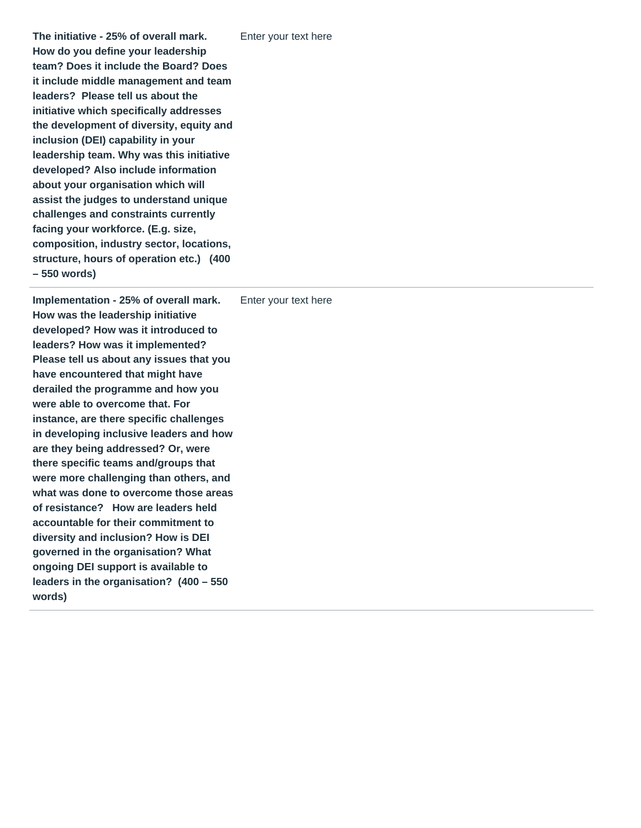**The initiative - 25% of overall mark. How do you define your leadership team? Does it include the Board? Does it include middle management and team leaders? Please tell us about the initiative which specifically addresses the development of diversity, equity and inclusion (DEI) capability in your leadership team. Why was this initiative developed? Also include information about your organisation which will assist the judges to understand unique challenges and constraints currently facing your workforce. (E.g. size, composition, industry sector, locations, structure, hours of operation etc.) (400 – 550 words)**

**Implementation - 25% of overall mark. How was the leadership initiative developed? How was it introduced to leaders? How was it implemented? Please tell us about any issues that you have encountered that might have derailed the programme and how you were able to overcome that. For instance, are there specific challenges in developing inclusive leaders and how are they being addressed? Or, were there specific teams and/groups that were more challenging than others, and what was done to overcome those areas of resistance? How are leaders held accountable for their commitment to diversity and inclusion? How is DEI governed in the organisation? What ongoing DEI support is available to leaders in the organisation? (400 – 550 words)** Enter your text here

Enter your text here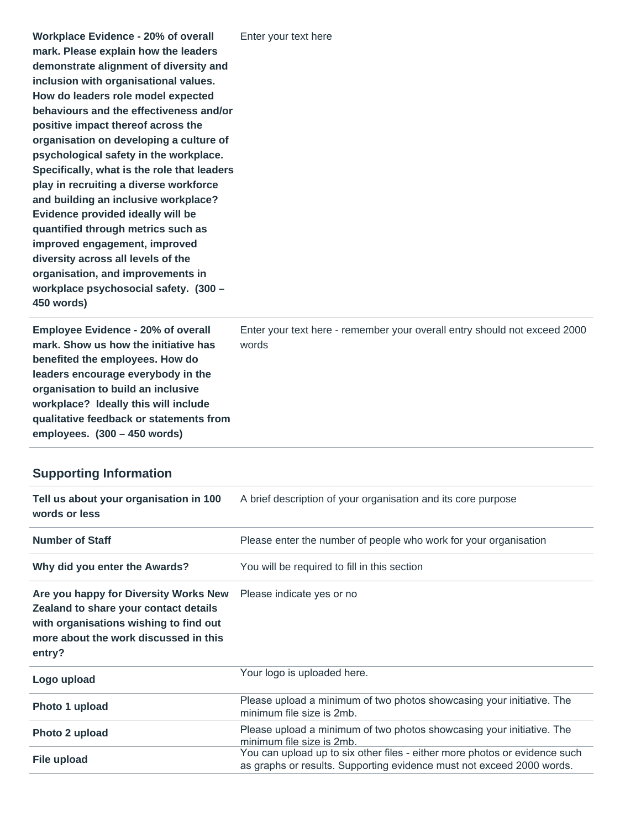**Employee Evidence - 20% of overall mark. Show us how the initiative has benefited the employees. How do leaders encourage everybody in the organisation to build an inclusive workplace? Ideally this will include qualitative feedback or statements from employees. (300 – 450 words)**

Enter your text here - remember your overall entry should not exceed 2000 words

## **Supporting Information**

| Tell us about your organisation in 100<br>words or less                                                                                                                     | A brief description of your organisation and its core purpose                                                                                       |
|-----------------------------------------------------------------------------------------------------------------------------------------------------------------------------|-----------------------------------------------------------------------------------------------------------------------------------------------------|
| <b>Number of Staff</b>                                                                                                                                                      | Please enter the number of people who work for your organisation                                                                                    |
| Why did you enter the Awards?                                                                                                                                               | You will be required to fill in this section                                                                                                        |
| Are you happy for Diversity Works New<br>Zealand to share your contact details<br>with organisations wishing to find out<br>more about the work discussed in this<br>entry? | Please indicate yes or no                                                                                                                           |
| Logo upload                                                                                                                                                                 | Your logo is uploaded here.                                                                                                                         |
| Photo 1 upload                                                                                                                                                              | Please upload a minimum of two photos showcasing your initiative. The<br>minimum file size is 2mb.                                                  |
| Photo 2 upload                                                                                                                                                              | Please upload a minimum of two photos showcasing your initiative. The<br>minimum file size is 2mb.                                                  |
| File upload                                                                                                                                                                 | You can upload up to six other files - either more photos or evidence such<br>as graphs or results. Supporting evidence must not exceed 2000 words. |